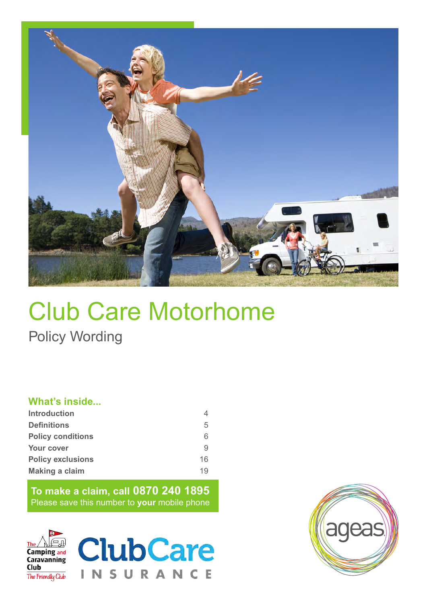

# Club Care Motorhome Policy Wording

# **What's inside...**

| <b>Introduction</b>      | 4  |
|--------------------------|----|
| <b>Definitions</b>       | 5  |
| <b>Policy conditions</b> | 6  |
| <b>Your cover</b>        | 9  |
| <b>Policy exclusions</b> | 16 |
| Making a claim           | 19 |

**To make a claim, call 0870 240 1895** Please save this number to **your** mobile phone





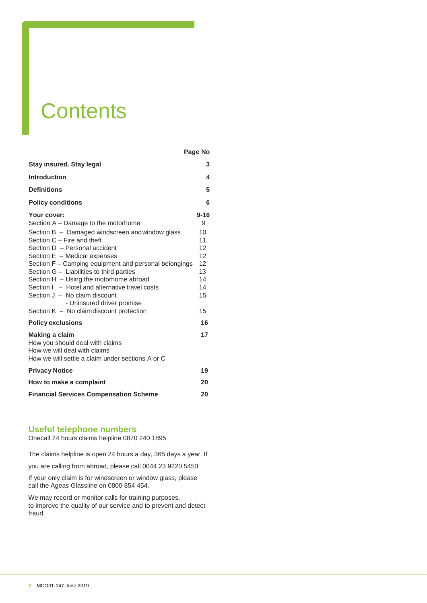# **Contents**

|                                                                                                                                                                                                                                                                                                                                                                                                                                                                                                                             | Page No                                                                   |
|-----------------------------------------------------------------------------------------------------------------------------------------------------------------------------------------------------------------------------------------------------------------------------------------------------------------------------------------------------------------------------------------------------------------------------------------------------------------------------------------------------------------------------|---------------------------------------------------------------------------|
| Stay insured. Stay legal                                                                                                                                                                                                                                                                                                                                                                                                                                                                                                    | 3                                                                         |
| <b>Introduction</b>                                                                                                                                                                                                                                                                                                                                                                                                                                                                                                         | 4                                                                         |
| <b>Definitions</b>                                                                                                                                                                                                                                                                                                                                                                                                                                                                                                          | 5                                                                         |
| <b>Policy conditions</b>                                                                                                                                                                                                                                                                                                                                                                                                                                                                                                    | 6                                                                         |
| Your cover:<br>Section A – Damage to the motorhome<br>Section B - Damaged windscreen and window glass<br>Section $C$ – Fire and theft<br>Section D - Personal accident<br>Section $E -$ Medical expenses<br>Section F - Camping equipment and personal belongings<br>Section $G -$ Liabilities to third parties<br>Section $H - U\sin q$ the motorhome abroad<br>Section I - Hotel and alternative travel costs<br>Section $J - No$ claim discount<br>- Uninsured driver promise<br>Section K - No claimdiscount protection | $9 - 16$<br>9<br>10<br>11<br>12<br>12<br>12<br>13<br>14<br>14<br>15<br>15 |
| <b>Policy exclusions</b>                                                                                                                                                                                                                                                                                                                                                                                                                                                                                                    | 16                                                                        |
| Making a claim<br>How you should deal with claims<br>How we will deal with claims<br>How we will settle a claim under sections A or C                                                                                                                                                                                                                                                                                                                                                                                       | 17                                                                        |
| <b>Privacy Notice</b>                                                                                                                                                                                                                                                                                                                                                                                                                                                                                                       | 19                                                                        |
| How to make a complaint                                                                                                                                                                                                                                                                                                                                                                                                                                                                                                     | 20                                                                        |
| <b>Financial Services Compensation Scheme</b>                                                                                                                                                                                                                                                                                                                                                                                                                                                                               | 20                                                                        |

# **Useful telephone numbers**

Onecall 24 hours claims helpline 0870 240 1895

The claims helpline is open 24 hours a day, 365 days a year. If

you are calling from abroad, please call 0044 23 9220 5450.

If your only claim is for windscreen or window glass, please call the Ageas Glassline on 0800 854 454.

We may record or monitor calls for training purposes, to improve the quality of our service and to prevent and detect fraud.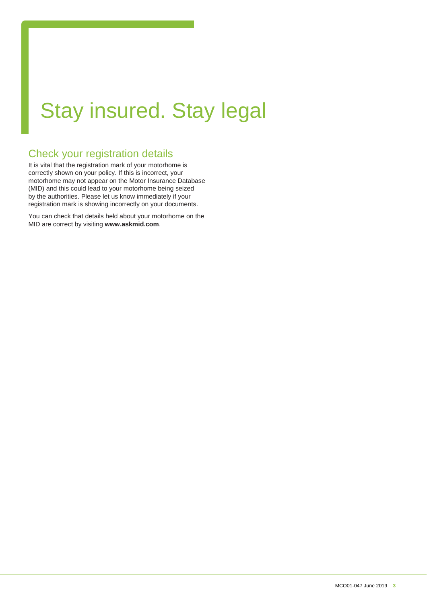# Stay insured. Stay legal

# Check your registration details

It is vital that the registration mark of your motorhome is correctly shown on your policy. If this is incorrect, your motorhome may not appear on the Motor Insurance Database (MID) and this could lead to your motorhome being seized by the authorities. Please let us know immediately if your registration mark is showing incorrectly on your documents.

You can check that details held about your motorhome on the MID are correct by visiting **[www.askmid.com](http://www.askmid.com/)**.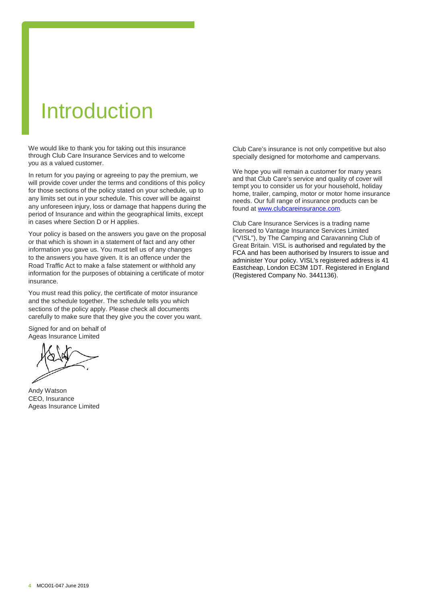# Introduction

We would like to thank you for taking out this insurance through Club Care Insurance Services and to welcome you as a valued customer.

In return for you paying or agreeing to pay the premium, we will provide cover under the terms and conditions of this policy for those sections of the policy stated on your schedule, up to any limits set out in your schedule. This cover will be against any unforeseen injury, loss or damage that happens during the period of Insurance and within the geographical limits, except in cases where Section D or H applies.

Your policy is based on the answers you gave on the proposal or that which is shown in a statement of fact and any other information you gave us. You must tell us of any changes to the answers you have given. It is an offence under the Road Traffic Act to make a false statement or withhold any information for the purposes of obtaining a certificate of motor insurance.

You must read this policy, the certificate of motor insurance and the schedule together. The schedule tells you which sections of the policy apply. Please check all documents carefully to make sure that they give you the cover you want.

Signed for and on behalf of Ageas Insurance Limited

Andy Watson CEO, Insurance Ageas Insurance Limited

Club Care's insurance is not only competitive but also specially designed for motorhome and campervans.

We hope you will remain a customer for many years and that Club Care's service and quality of cover will tempt you to consider us for your household, holiday home, trailer, camping, motor or motor home insurance needs. Our full range of insurance products can be found a[t www.clubcareinsurance.com.](http://www.clubcareinsurance.com/)

Club Care Insurance Services is a trading name licensed to Vantage Insurance Services Limited ("VISL"), by The Camping and Caravanning Club of Great Britain. VISL is authorised and regulated by the FCA and has been authorised by Insurers to issue and administer Your policy. VISL's registered address is 41 Eastcheap, London EC3M 1DT. Registered in England (Registered Company No. 3441136).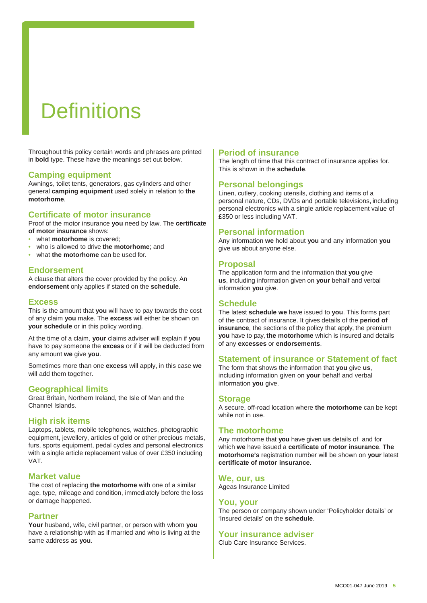# **Definitions**

Throughout this policy certain words and phrases are printed in **bold** type. These have the meanings set out below.

### **Camping equipment**

Awnings, toilet tents, generators, gas cylinders and other general **camping equipment** used solely in relation to **the motorhome**.

### **Certificate of motor insurance**

Proof of the motor insurance **you** need by law. The **certificate of motor insurance** shows:

- what **motorhome** is covered;
- who is allowed to drive **the motorhome**; and
- what **the motorhome** can be used for.

# **Endorsement**

A clause that alters the cover provided by the policy. An **endorsement** only applies if stated on the **schedule**.

#### **Excess**

This is the amount that **you** will have to pay towards the cost of any claim **you** make. The **excess** will either be shown on **your schedule** or in this policy wording.

At the time of a claim, **your** claims adviser will explain if **you**  have to pay someone the **excess** or if it will be deducted from any amount **we** give **you**.

Sometimes more than one **excess** will apply, in this case **we** will add them together.

# **Geographical limits**

Great Britain, Northern Ireland, the Isle of Man and the Channel Islands.

#### **High risk items**

Laptops, tablets, mobile telephones, watches, photographic equipment, jewellery, articles of gold or other precious metals, furs, sports equipment, pedal cycles and personal electronics with a single article replacement value of over £350 including VAT.

#### **Market value**

The cost of replacing **the motorhome** with one of a similar age, type, mileage and condition, immediately before the loss or damage happened.

#### **Partner**

**Your** husband, wife, civil partner, or person with whom **you**  have a relationship with as if married and who is living at the same address as **you**.

### **Period of insurance**

The length of time that this contract of insurance applies for. This is shown in the **schedule**.

# **Personal belongings**

Linen, cutlery, cooking utensils, clothing and items of a personal nature, CDs, DVDs and portable televisions, including personal electronics with a single article replacement value of £350 or less including VAT.

# **Personal information**

Any information **we** hold about **you** and any information **you** give **us** about anyone else.

### **Proposal**

The application form and the information that **you** give **us**, including information given on **your** behalf and verbal information **you** give.

# **Schedule**

The latest **schedule we** have issued to **you**. This forms part of the contract of insurance. It gives details of the **period of insurance**, the sections of the policy that apply, the premium **you** have to pay, **the motorhome** which is insured and details of any **excesses** or **endorsements**.

# **Statement of insurance or Statement of fact**

The form that shows the information that **you** give **us**, including information given on **your** behalf and verbal information **you** give.

#### **Storage**

A secure, off-road location where **the motorhome** can be kept while not in use.

# **The motorhome**

Any motorhome that **you** have given **us** details of and for which **we** have issued a **certificate of motor insurance**. **The motorhome's** registration number will be shown on **your** latest **certificate of motor insurance**.

#### **We, our, us**

Ageas Insurance Limited

#### **You, your**

The person or company shown under 'Policyholder details' or 'Insured details' on the **schedule**.

# **Your insurance adviser**

Club Care Insurance Services.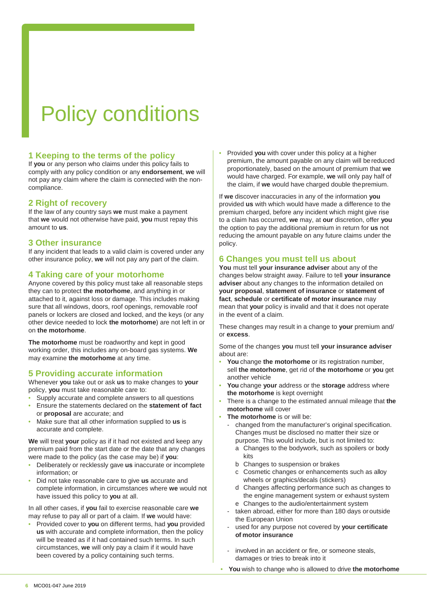# Policy conditions

# **1 Keeping to the terms of the policy**

If **you** or any person who claims under this policy fails to comply with any policy condition or any **endorsement**, **we** will not pay any claim where the claim is connected with the noncompliance.

# **2 Right of recovery**

If the law of any country says **we** must make a payment that **we** would not otherwise have paid, **you** must repay this amount to **us**.

# **3 Other insurance**

If any incident that leads to a valid claim is covered under any other insurance policy, **we** will not pay any part of the claim.

# **4 Taking care of your motorhome**

Anyone covered by this policy must take all reasonable steps they can to protect **the motorhome**, and anything in or attached to it, against loss or damage. This includes making sure that all windows, doors, roof openings, removable roof panels or lockers are closed and locked, and the keys (or any other device needed to lock **the motorhome**) are not left in or on **the motorhome**.

**The motorhome** must be roadworthy and kept in good working order, this includes any on-board gas systems. **We**  may examine **the motorhome** at any time.

# **5 Providing accurate information**

Whenever **you** take out or ask **us** to make changes to **your** policy, **you** must take reasonable care to:

- Supply accurate and complete answers to all questions
- Ensure the statements declared on the **statement of fact** or **proposal** are accurate; and
- Make sure that all other information supplied to **us** is accurate and complete.

**We** will treat **your** policy as if it had not existed and keep any premium paid from the start date or the date that any changes were made to the policy (as the case may be) if **you**:

- Deliberately or recklessly gave **us** inaccurate or incomplete information; or
- Did not take reasonable care to give **us** accurate and complete information, in circumstances where **we** would not have issued this policy to **you** at all.

In all other cases, if **you** fail to exercise reasonable care **we** may refuse to pay all or part of a claim. If **we** would have:

• Provided cover to **you** on different terms, had **you** provided **us** with accurate and complete information, then the policy will be treated as if it had contained such terms. In such circumstances, **we** will only pay a claim if it would have been covered by a policy containing such terms.

• Provided **you** with cover under this policy at a higher premium, the amount payable on any claim will be reduced proportionately, based on the amount of premium that **we** would have charged. For example, **we** will only pay half of the claim, if **we** would have charged double thepremium.

If **we** discover inaccuracies in any of the information **you**  provided **us** with which would have made a difference to the premium charged, before any incident which might give rise to a claim has occurred, **we** may, at **our** discretion, offer **you**  the option to pay the additional premium in return for **us** not reducing the amount payable on any future claims under the policy.

# **6 Changes you must tell us about**

**You** must tell **your insurance adviser** about any of the changes below straight away. Failure to tell **your insurance adviser** about any changes to the information detailed on **your proposal**, **statement of insurance** or **statement of fact**, **schedule** or **certificate of motor insurance** may mean that **your** policy is invalid and that it does not operate in the event of a claim.

These changes may result in a change to **your** premium and/ or **excess**.

Some of the changes **you** must tell **your insurance adviser**  about are:

- **You** change **the motorhome** or its registration number, sell **the motorhome**, get rid of **the motorhome** or **you** get another vehicle
- **You** change **your** address or the **storage** address where **the motorhome** is kept overnight
- There is a change to the estimated annual mileage that **the motorhome** will cover
- **The motorhome** is or will be:
	- changed from the manufacturer's original specification. Changes must be disclosed no matter their size or purpose. This would include, but is not limited to:
		- a Changes to the bodywork, such as spoilers or body kits
		- b Changes to suspension or brakes
		- c Cosmetic changes or enhancements such as alloy wheels or graphics/decals (stickers)
		- d Changes affecting performance such as changes to the engine management system or exhaust system e Changes to the audio/entertainment system
	- taken abroad, either for more than 180 days or outside the European Union
	- used for any purpose not covered by your certificate **of motor insurance**
	- involved in an accident or fire, or someone steals, damages or tries to break into it
- **You** wish to change who is allowed to drive **the motorhome**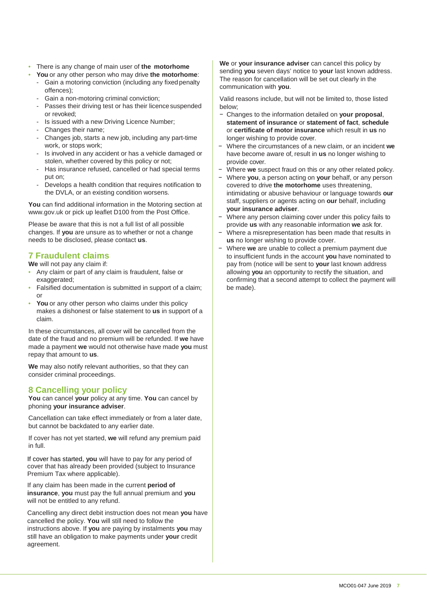- There is any change of main user of **the motorhome**
- **You** or any other person who may drive **the motorhome**:
	- Gain a motoring conviction (including any fixed penalty offences);
	- Gain a non-motoring criminal conviction;
	- Passes their driving test or has their licence suspended or revoked;
	- Is issued with a new Driving Licence Number;
	- Changes their name;
	- Changes job, starts a new job, including any part-time work, or stops work;
	- Is involved in any accident or has a vehicle damaged or stolen, whether covered by this policy or not;
	- Has insurance refused, cancelled or had special terms put on;
	- Develops a health condition that requires notification to the DVLA, or an existing condition worsens.

**You** can find additional information in the Motoring section at [www.gov.uk o](http://www.gov.uk/)r pick up leaflet D100 from the Post Office.

Please be aware that this is not a full list of all possible changes. If **you** are unsure as to whether or not a change needs to be disclosed, please contact **us**.

# **7 Fraudulent claims**

**We** will not pay any claim if:

- Any claim or part of any claim is fraudulent, false or exaggerated:
- Falsified documentation is submitted in support of a claim; or
- You or any other person who claims under this policy makes a dishonest or false statement to **us** in support of a claim.

In these circumstances, all cover will be cancelled from the date of the fraud and no premium will be refunded. If **we** have made a payment **we** would not otherwise have made **you** must repay that amount to **us**.

**We** may also notify relevant authorities, so that they can consider criminal proceedings.

# **8 Cancelling your policy**

**You** can cancel **your** policy at any time. **You** can cancel by phoning **your insurance adviser**.

Cancellation can take effect immediately or from a later date, but cannot be backdated to any earlier date.

If cover has not yet started, **we** will refund any premium paid in full.

If cover has started, **you** will have to pay for any period of cover that has already been provided (subject to Insurance Premium Tax where applicable).

If any claim has been made in the current **period of insurance**, **you** must pay the full annual premium and **you**  will not be entitled to any refund.

Cancelling any direct debit instruction does not mean **you** have cancelled the policy. **You** will still need to follow the instructions above. If **you** are paying by instalments **you** may still have an obligation to make payments under **your** credit agreement.

**We** or **your insurance adviser** can cancel this policy by sending **you** seven days' notice to **your** last known address. The reason for cancellation will be set out clearly in the communication with **you**.

Valid reasons include, but will not be limited to, those listed below;

- − Changes to the information detailed on **your proposal**, **statement of insurance** or **statement of fact**, **schedule** or **certificate of motor insurance** which result in **us** no longer wishing to provide cover.
- − Where the circumstances of a new claim, or an incident **we**  have become aware of, result in **us** no longer wishing to provide cover.
- Where we suspect fraud on this or any other related policy.
- − Where **you**, a person acting on **your** behalf, or any person covered to drive **the motorhome** uses threatening, intimidating or abusive behaviour or language towards **our** staff, suppliers or agents acting on **our** behalf, including **your insurance adviser**.
- Where any person claiming cover under this policy fails to provide **us** with any reasonable information **we** ask for.
- − Where a misrepresentation has been made that results in **us** no longer wishing to provide cover.
- − Where **we** are unable to collect a premium payment due to insufficient funds in the account **you** have nominated to pay from (notice will be sent to **your** last known address allowing **you** an opportunity to rectify the situation, and confirming that a second attempt to collect the payment will be made).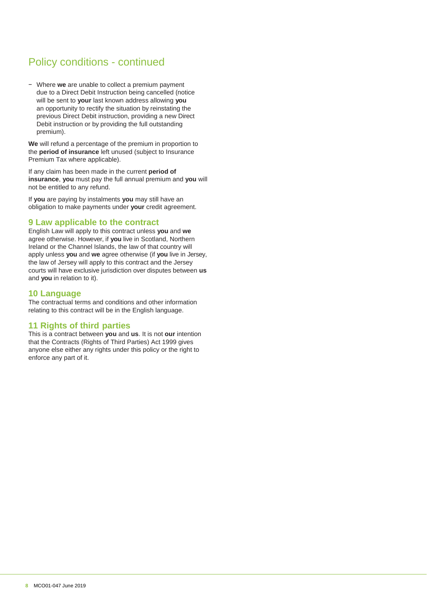# Policy conditions - continued

− Where **we** are unable to collect a premium payment due to a Direct Debit Instruction being cancelled (notice will be sent to **your** last known address allowing **you** an opportunity to rectify the situation by reinstating the previous Direct Debit instruction, providing a new Direct Debit instruction or by providing the full outstanding premium).

**We** will refund a percentage of the premium in proportion to the **period of insurance** left unused (subject to Insurance Premium Tax where applicable).

If any claim has been made in the current **period of insurance**, **you** must pay the full annual premium and **you** will not be entitled to any refund.

If **you** are paying by instalments **you** may still have an obligation to make payments under **your** credit agreement.

# **9 Law applicable to the contract**

English Law will apply to this contract unless **you** and **we**  agree otherwise. However, if **you** live in Scotland, Northern Ireland or the Channel Islands, the law of that country will apply unless **you** and **we** agree otherwise (if **you** live in Jersey, the law of Jersey will apply to this contract and the Jersey courts will have exclusive jurisdiction over disputes between **us**  and **you** in relation to it).

# **10 Language**

The contractual terms and conditions and other information relating to this contract will be in the English language.

# **11 Rights of third parties**

This is a contract between **you** and **us**. It is not **our** intention that the Contracts (Rights of Third Parties) Act 1999 gives anyone else either any rights under this policy or the right to enforce any part of it.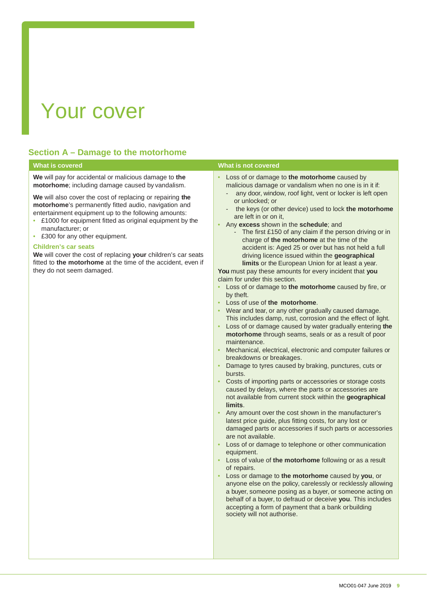# Your cover

# **Section A – Damage to the motorhome**

| <b>What is covered</b>                                                                                                                                                                                                                                                                                                                                                                                                                                                                                                                                                                                  | <b>What is not covered</b>                                                                                                                                                                                                                                                                                                                                                                                                                                                                                                                                                                                                                                                                                                                                                                                                                                                                                                                                                                                                                                                                                                                                                                                                                                                                                                                                                                                                                                                                                                                                                                                                                                                                                                                                                                                                                                                                                                                                                                                                                                                                                                |
|---------------------------------------------------------------------------------------------------------------------------------------------------------------------------------------------------------------------------------------------------------------------------------------------------------------------------------------------------------------------------------------------------------------------------------------------------------------------------------------------------------------------------------------------------------------------------------------------------------|---------------------------------------------------------------------------------------------------------------------------------------------------------------------------------------------------------------------------------------------------------------------------------------------------------------------------------------------------------------------------------------------------------------------------------------------------------------------------------------------------------------------------------------------------------------------------------------------------------------------------------------------------------------------------------------------------------------------------------------------------------------------------------------------------------------------------------------------------------------------------------------------------------------------------------------------------------------------------------------------------------------------------------------------------------------------------------------------------------------------------------------------------------------------------------------------------------------------------------------------------------------------------------------------------------------------------------------------------------------------------------------------------------------------------------------------------------------------------------------------------------------------------------------------------------------------------------------------------------------------------------------------------------------------------------------------------------------------------------------------------------------------------------------------------------------------------------------------------------------------------------------------------------------------------------------------------------------------------------------------------------------------------------------------------------------------------------------------------------------------------|
| We will pay for accidental or malicious damage to the<br>motorhome; including damage caused by vandalism.<br>We will also cover the cost of replacing or repairing the<br>motorhome's permanently fitted audio, navigation and<br>entertainment equipment up to the following amounts:<br>• £1000 for equipment fitted as original equipment by the<br>manufacturer; or<br>• £300 for any other equipment.<br><b>Children's car seats</b><br>We will cover the cost of replacing your children's car seats<br>fitted to the motorhome at the time of the accident, even if<br>they do not seem damaged. | • Loss of or damage to the motorhome caused by<br>malicious damage or vandalism when no one is in it if:<br>any door, window, roof light, vent or locker is left open<br>or unlocked; or<br>the keys (or other device) used to lock the motorhome<br>are left in or on it,<br>Any excess shown in the schedule; and<br>- The first £150 of any claim if the person driving or in<br>charge of the motorhome at the time of the<br>accident is: Aged 25 or over but has not held a full<br>driving licence issued within the geographical<br>limits or the European Union for at least a year.<br>You must pay these amounts for every incident that you<br>claim for under this section.<br>• Loss of or damage to the motorhome caused by fire, or<br>by theft.<br>• Loss of use of the motorhome.<br>Wear and tear, or any other gradually caused damage.<br>This includes damp, rust, corrosion and the effect of light.<br>Loss of or damage caused by water gradually entering the<br>motorhome through seams, seals or as a result of poor<br>maintenance.<br>Mechanical, electrical, electronic and computer failures or<br>breakdowns or breakages.<br>Damage to tyres caused by braking, punctures, cuts or<br>bursts.<br>Costs of importing parts or accessories or storage costs<br>caused by delays, where the parts or accessories are<br>not available from current stock within the geographical<br>limits.<br>• Any amount over the cost shown in the manufacturer's<br>latest price guide, plus fitting costs, for any lost or<br>damaged parts or accessories if such parts or accessories<br>are not available.<br>Loss of or damage to telephone or other communication<br>equipment.<br>Loss of value of the motorhome following or as a result<br>of repairs.<br>Loss or damage to the motorhome caused by you, or<br>anyone else on the policy, carelessly or recklessly allowing<br>a buyer, someone posing as a buyer, or someone acting on<br>behalf of a buyer, to defraud or deceive you. This includes<br>accepting a form of payment that a bank or building<br>society will not authorise. |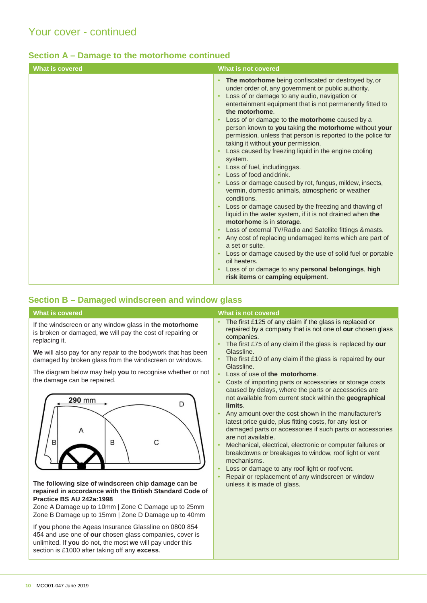|  |  |  | Section A – Damage to the motorhome continued |  |
|--|--|--|-----------------------------------------------|--|
|--|--|--|-----------------------------------------------|--|

| <b>What is covered</b> | What is not covered                                                                                                                                                                                                                                                                                                                                                                                                                                                                                                                                                                                                                                                                                                                                                                                                                                                                                                                                                                                                                                                                                                                                                                                     |
|------------------------|---------------------------------------------------------------------------------------------------------------------------------------------------------------------------------------------------------------------------------------------------------------------------------------------------------------------------------------------------------------------------------------------------------------------------------------------------------------------------------------------------------------------------------------------------------------------------------------------------------------------------------------------------------------------------------------------------------------------------------------------------------------------------------------------------------------------------------------------------------------------------------------------------------------------------------------------------------------------------------------------------------------------------------------------------------------------------------------------------------------------------------------------------------------------------------------------------------|
|                        | The motorhome being confiscated or destroyed by, or<br>$\bullet$<br>under order of, any government or public authority.<br>Loss of or damage to any audio, navigation or<br>entertainment equipment that is not permanently fitted to<br>the motorhome.<br>Loss of or damage to the motorhome caused by a<br>person known to you taking the motorhome without your<br>permission, unless that person is reported to the police for<br>taking it without your permission.<br>Loss caused by freezing liquid in the engine cooling<br>system.<br>Loss of fuel, including gas.<br>Loss of food and drink.<br>Loss or damage caused by rot, fungus, mildew, insects,<br>vermin, domestic animals, atmospheric or weather<br>conditions.<br>Loss or damage caused by the freezing and thawing of<br>liquid in the water system, if it is not drained when the<br>motorhome is in storage.<br>Loss of external TV/Radio and Satellite fittings & masts.<br>Any cost of replacing undamaged items which are part of<br>a set or suite.<br>Loss or damage caused by the use of solid fuel or portable<br>oil heaters.<br>Loss of or damage to any personal belongings, high<br>risk items or camping equipment. |
|                        |                                                                                                                                                                                                                                                                                                                                                                                                                                                                                                                                                                                                                                                                                                                                                                                                                                                                                                                                                                                                                                                                                                                                                                                                         |

# <span id="page-9-0"></span>**Section B – Damaged windscreen and window glass**

| <b>What is covered</b>                                                                                                                                                                                                                                                                                                                                                                                                                                                                                                                                                                                                                                                                                                                                                                                                                                                                            | What is not covered                                                                                                                                                                                                                                                                                                                                                                                                                                                                                                                                                                                                                                                                                                                                                                                                                                                                                                                                                                                                                                                                                 |
|---------------------------------------------------------------------------------------------------------------------------------------------------------------------------------------------------------------------------------------------------------------------------------------------------------------------------------------------------------------------------------------------------------------------------------------------------------------------------------------------------------------------------------------------------------------------------------------------------------------------------------------------------------------------------------------------------------------------------------------------------------------------------------------------------------------------------------------------------------------------------------------------------|-----------------------------------------------------------------------------------------------------------------------------------------------------------------------------------------------------------------------------------------------------------------------------------------------------------------------------------------------------------------------------------------------------------------------------------------------------------------------------------------------------------------------------------------------------------------------------------------------------------------------------------------------------------------------------------------------------------------------------------------------------------------------------------------------------------------------------------------------------------------------------------------------------------------------------------------------------------------------------------------------------------------------------------------------------------------------------------------------------|
| If the windscreen or any window glass in the motorhome<br>is broken or damaged, we will pay the cost of repairing or<br>replacing it.<br>We will also pay for any repair to the bodywork that has been<br>damaged by broken glass from the windscreen or windows.<br>The diagram below may help you to recognise whether or not<br>the damage can be repaired.<br>290 mm<br>D<br>А<br>B<br>В<br>С<br>The following size of windscreen chip damage can be<br>repaired in accordance with the British Standard Code of<br>Practice BS AU 242a:1998<br>Zone A Damage up to 10mm   Zone C Damage up to 25mm<br>Zone B Damage up to 15mm   Zone D Damage up to 40mm<br>If you phone the Ageas Insurance Glassline on 0800 854<br>454 and use one of our chosen glass companies, cover is<br>unlimited. If you do not, the most we will pay under this<br>section is £1000 after taking off any excess. | The first £125 of any claim if the glass is replaced or<br>repaired by a company that is not one of our chosen glass<br>companies.<br>The first £75 of any claim if the glass is replaced by our<br>$\bullet$<br>Glassline.<br>The first £10 of any claim if the glass is repaired by our<br>Glassline.<br>Loss of use of the motorhome.<br>$\bullet$<br>Costs of importing parts or accessories or storage costs<br>$\bullet$<br>caused by delays, where the parts or accessories are<br>not available from current stock within the geographical<br>limits.<br>Any amount over the cost shown in the manufacturer's<br>$\bullet$<br>latest price guide, plus fitting costs, for any lost or<br>damaged parts or accessories if such parts or accessories<br>are not available.<br>Mechanical, electrical, electronic or computer failures or<br>$\bullet$<br>breakdowns or breakages to window, roof light or vent<br>mechanisms.<br>Loss or damage to any roof light or roof vent.<br>$\bullet$<br>Repair or replacement of any windscreen or window<br>$\bullet$<br>unless it is made of glass. |
|                                                                                                                                                                                                                                                                                                                                                                                                                                                                                                                                                                                                                                                                                                                                                                                                                                                                                                   |                                                                                                                                                                                                                                                                                                                                                                                                                                                                                                                                                                                                                                                                                                                                                                                                                                                                                                                                                                                                                                                                                                     |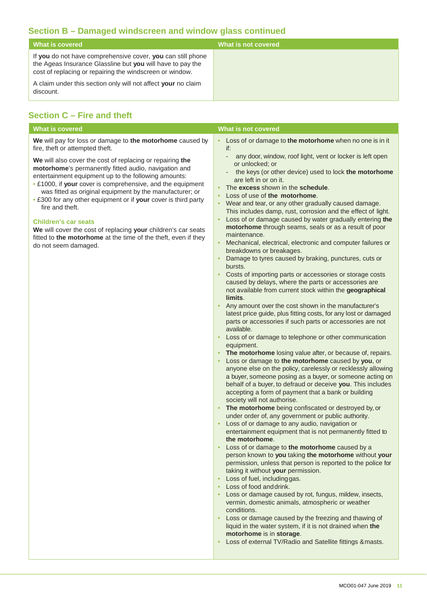# **Section B – Damaged windscreen and window glass continued**

| What is covered                                                                                                                                                                       | What is not covered |
|---------------------------------------------------------------------------------------------------------------------------------------------------------------------------------------|---------------------|
| If you do not have comprehensive cover, you can still phone<br>the Ageas Insurance Glassline but you will have to pay the<br>cost of replacing or repairing the windscreen or window. |                     |
| A claim under this section only will not affect your no claim<br>discount.                                                                                                            |                     |

# <span id="page-10-0"></span>**Section C – Fire and theft**

| <b>What is covered</b>                                                                                                                                                                                                                                                                                                                                                                                                                                                                                                                                                             | What is not covered                                                                                                                                                                                                                                                                                                                                                                                                                                                                                                                                                                                                                                                                                                                                                                                                                                                                                                                                                                                                                                                                                                                                                                                                                                                                                                                                                                                                                                                                                                                                                                                                                                                                                                                                                                                                                                                                                                                                                                                                      |
|------------------------------------------------------------------------------------------------------------------------------------------------------------------------------------------------------------------------------------------------------------------------------------------------------------------------------------------------------------------------------------------------------------------------------------------------------------------------------------------------------------------------------------------------------------------------------------|--------------------------------------------------------------------------------------------------------------------------------------------------------------------------------------------------------------------------------------------------------------------------------------------------------------------------------------------------------------------------------------------------------------------------------------------------------------------------------------------------------------------------------------------------------------------------------------------------------------------------------------------------------------------------------------------------------------------------------------------------------------------------------------------------------------------------------------------------------------------------------------------------------------------------------------------------------------------------------------------------------------------------------------------------------------------------------------------------------------------------------------------------------------------------------------------------------------------------------------------------------------------------------------------------------------------------------------------------------------------------------------------------------------------------------------------------------------------------------------------------------------------------------------------------------------------------------------------------------------------------------------------------------------------------------------------------------------------------------------------------------------------------------------------------------------------------------------------------------------------------------------------------------------------------------------------------------------------------------------------------------------------------|
| We will pay for loss or damage to the motorhome caused by<br>fire, theft or attempted theft.                                                                                                                                                                                                                                                                                                                                                                                                                                                                                       | • Loss of or damage to the motorhome when no one is in it<br>if:                                                                                                                                                                                                                                                                                                                                                                                                                                                                                                                                                                                                                                                                                                                                                                                                                                                                                                                                                                                                                                                                                                                                                                                                                                                                                                                                                                                                                                                                                                                                                                                                                                                                                                                                                                                                                                                                                                                                                         |
| We will also cover the cost of replacing or repairing the<br>motorhome's permanently fitted audio, navigation and<br>entertainment equipment up to the following amounts:<br>. £1000, if your cover is comprehensive, and the equipment<br>was fitted as original equipment by the manufacturer; or<br>• £300 for any other equipment or if your cover is third party<br>fire and theft.<br><b>Children's car seats</b><br>We will cover the cost of replacing your children's car seats<br>fitted to the motorhome at the time of the theft, even if they<br>do not seem damaged. | any door, window, roof light, vent or locker is left open<br>$\overline{\phantom{a}}$<br>or unlocked; or<br>the keys (or other device) used to lock the motorhome<br>$\overline{\phantom{a}}$<br>are left in or on it.<br>The excess shown in the schedule.<br>$\bullet$<br>Loss of use of the motorhome.<br>$\bullet$<br>Wear and tear, or any other gradually caused damage.<br>$\bullet$<br>This includes damp, rust, corrosion and the effect of light.<br>Loss of or damage caused by water gradually entering the<br>motorhome through seams, seals or as a result of poor<br>maintenance.<br>Mechanical, electrical, electronic and computer failures or<br>$\bullet$<br>breakdowns or breakages.<br>Damage to tyres caused by braking, punctures, cuts or<br>$\bullet$<br>bursts.<br>Costs of importing parts or accessories or storage costs<br>$\bullet$<br>caused by delays, where the parts or accessories are<br>not available from current stock within the geographical<br>limits.<br>Any amount over the cost shown in the manufacturer's<br>$\bullet$<br>latest price guide, plus fitting costs, for any lost or damaged<br>parts or accessories if such parts or accessories are not<br>available.<br>Loss of or damage to telephone or other communication<br>equipment.<br>The motorhome losing value after, or because of, repairs.<br>$\bullet$<br>Loss or damage to the motorhome caused by you, or<br>anyone else on the policy, carelessly or recklessly allowing<br>a buyer, someone posing as a buyer, or someone acting on<br>behalf of a buyer, to defraud or deceive you. This includes<br>accepting a form of payment that a bank or building<br>society will not authorise.<br>The motorhome being confiscated or destroyed by, or<br>under order of, any government or public authority.<br>Loss of or damage to any audio, navigation or<br>$\bullet$<br>entertainment equipment that is not permanently fitted to<br>the motorhome.<br>Loss of or damage to the motorhome caused by a |
|                                                                                                                                                                                                                                                                                                                                                                                                                                                                                                                                                                                    | person known to you taking the motorhome without your<br>permission, unless that person is reported to the police for                                                                                                                                                                                                                                                                                                                                                                                                                                                                                                                                                                                                                                                                                                                                                                                                                                                                                                                                                                                                                                                                                                                                                                                                                                                                                                                                                                                                                                                                                                                                                                                                                                                                                                                                                                                                                                                                                                    |
|                                                                                                                                                                                                                                                                                                                                                                                                                                                                                                                                                                                    | taking it without your permission.<br>Loss of fuel, including gas.<br>$\bullet$<br>Loss of food and drink.<br>$\bullet$                                                                                                                                                                                                                                                                                                                                                                                                                                                                                                                                                                                                                                                                                                                                                                                                                                                                                                                                                                                                                                                                                                                                                                                                                                                                                                                                                                                                                                                                                                                                                                                                                                                                                                                                                                                                                                                                                                  |
|                                                                                                                                                                                                                                                                                                                                                                                                                                                                                                                                                                                    | Loss or damage caused by rot, fungus, mildew, insects,<br>$\bullet$<br>vermin, domestic animals, atmospheric or weather<br>conditions.                                                                                                                                                                                                                                                                                                                                                                                                                                                                                                                                                                                                                                                                                                                                                                                                                                                                                                                                                                                                                                                                                                                                                                                                                                                                                                                                                                                                                                                                                                                                                                                                                                                                                                                                                                                                                                                                                   |
|                                                                                                                                                                                                                                                                                                                                                                                                                                                                                                                                                                                    | Loss or damage caused by the freezing and thawing of<br>liquid in the water system, if it is not drained when the<br>motorhome is in storage.                                                                                                                                                                                                                                                                                                                                                                                                                                                                                                                                                                                                                                                                                                                                                                                                                                                                                                                                                                                                                                                                                                                                                                                                                                                                                                                                                                                                                                                                                                                                                                                                                                                                                                                                                                                                                                                                            |
|                                                                                                                                                                                                                                                                                                                                                                                                                                                                                                                                                                                    | Loss of external TV/Radio and Satellite fittings & masts.<br>٠                                                                                                                                                                                                                                                                                                                                                                                                                                                                                                                                                                                                                                                                                                                                                                                                                                                                                                                                                                                                                                                                                                                                                                                                                                                                                                                                                                                                                                                                                                                                                                                                                                                                                                                                                                                                                                                                                                                                                           |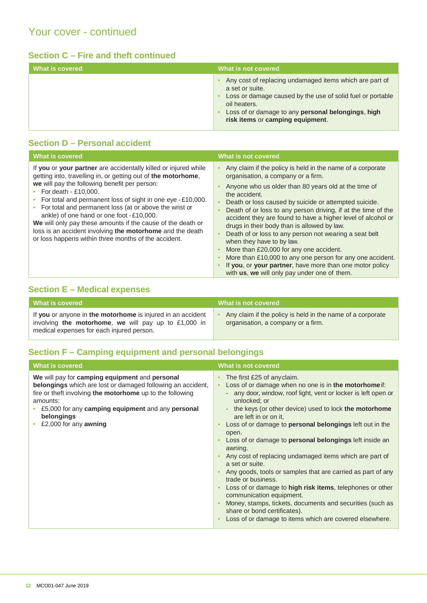# **Section C – Fire and theft continued**

| What is covered | What is not covered                                                                                                                                                                                                                                |
|-----------------|----------------------------------------------------------------------------------------------------------------------------------------------------------------------------------------------------------------------------------------------------|
|                 | Any cost of replacing undamaged items which are part of<br>a set or suite.<br>Loss or damage caused by the use of solid fuel or portable<br>oil heaters.<br>Loss of or damage to any personal belongings, high<br>risk items or camping equipment. |

# <span id="page-11-0"></span>**Section D – Personal accident**

| <b>What is covered</b>                                                                                                                                                                                                                                                                                                                                                                                                                                                                                                                                               | What is not covered                                                                                                                                                                                                                                                                                                                                                                                                                                                                                                                                                                                                                                                                                                                                             |
|----------------------------------------------------------------------------------------------------------------------------------------------------------------------------------------------------------------------------------------------------------------------------------------------------------------------------------------------------------------------------------------------------------------------------------------------------------------------------------------------------------------------------------------------------------------------|-----------------------------------------------------------------------------------------------------------------------------------------------------------------------------------------------------------------------------------------------------------------------------------------------------------------------------------------------------------------------------------------------------------------------------------------------------------------------------------------------------------------------------------------------------------------------------------------------------------------------------------------------------------------------------------------------------------------------------------------------------------------|
| If you or your partner are accidentally killed or injured while<br>getting into, travelling in, or getting out of the motorhome,<br>we will pay the following benefit per person:<br>• For death - £10,000.<br>For total and permanent loss of sight in one eye - £10,000.<br>For total and permanent loss (at or above the wrist or<br>ankle) of one hand or one foot -£10,000.<br>We will only pay these amounts if the cause of the death or<br>loss is an accident involving the motorhome and the death<br>or loss happens within three months of the accident. | Any claim if the policy is held in the name of a corporate<br>$\bullet$<br>organisation, a company or a firm.<br>Anyone who us older than 80 years old at the time of<br>the accident.<br>Death or loss caused by suicide or attempted suicide.<br>$\bullet$<br>Death of or loss to any person driving, if at the time of the<br>accident they are found to have a higher level of alcohol or<br>drugs in their body than is allowed by law.<br>Death of or loss to any person not wearing a seat belt<br>when they have to by law.<br>More than £20,000 for any one accident.<br>More than £10,000 to any one person for any one accident.<br>If you, or your partner, have more than one motor policy<br>with <b>us</b> , we will only pay under one of them. |

# <span id="page-11-1"></span>**Section E – Medical expenses**

| What is covered                                                                                                                                                    | What is not covered                                                                              |
|--------------------------------------------------------------------------------------------------------------------------------------------------------------------|--------------------------------------------------------------------------------------------------|
| If you or anyone in the motorhome is injured in an accident<br>involving the motorhome, we will pay up to $£1,000$ in<br>medical expenses for each injured person. | Any claim if the policy is held in the name of a corporate<br>organisation, a company or a firm. |

# **Section F – Camping equipment and personal belongings**

| What is covered                                                                                                                                                                                                                                                                                  | What is not covered                                                                                                                                                                                                                                                                                                                                                                                                                                                                                                                                                                                                                                                                                                                                                                                                                                                                                         |
|--------------------------------------------------------------------------------------------------------------------------------------------------------------------------------------------------------------------------------------------------------------------------------------------------|-------------------------------------------------------------------------------------------------------------------------------------------------------------------------------------------------------------------------------------------------------------------------------------------------------------------------------------------------------------------------------------------------------------------------------------------------------------------------------------------------------------------------------------------------------------------------------------------------------------------------------------------------------------------------------------------------------------------------------------------------------------------------------------------------------------------------------------------------------------------------------------------------------------|
| We will pay for camping equipment and personal<br><b>belongings</b> which are lost or damaged following an accident,<br>fire or theft involving the motorhome up to the following<br>amounts:<br>£5,000 for any camping equipment and any personal<br>belongings<br>£2,000 for any <b>awning</b> | The first £25 of anyclaim.<br>$\bullet$<br>Loss of or damage when no one is in the motorhome if:<br>$\bullet$<br>any door, window, roof light, vent or locker is left open or<br>unlocked; or<br>the keys (or other device) used to lock the motorhome<br>are left in or on it.<br>Loss of or damage to <b>personal belongings</b> left out in the<br>$\bullet$<br>open.<br>Loss of or damage to <b>personal belongings</b> left inside an<br>awning.<br>Any cost of replacing undamaged items which are part of<br>a set or suite.<br>Any goods, tools or samples that are carried as part of any<br>trade or business.<br>Loss of or damage to <b>high risk items</b> , telephones or other<br>$\bullet$<br>communication equipment.<br>Money, stamps, tickets, documents and securities (such as<br>share or bond certificates).<br>Loss of or damage to items which are covered elsewhere.<br>$\bullet$ |
|                                                                                                                                                                                                                                                                                                  |                                                                                                                                                                                                                                                                                                                                                                                                                                                                                                                                                                                                                                                                                                                                                                                                                                                                                                             |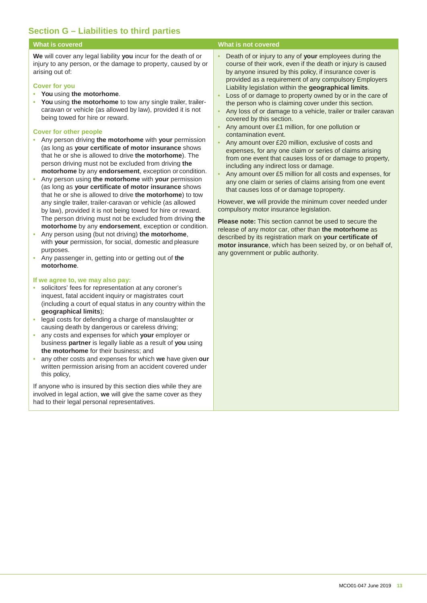# **Section G – Liabilities to third parties**

**We** will cover any legal liability **you** incur for the death of or injury to any person, or the damage to property, caused by or arising out of:

#### **Cover for you**

- **You** using **the motorhome**.
- **You** using **the motorhome** to tow any single trailer, trailercaravan or vehicle (as allowed by law), provided it is not being towed for hire or reward.

#### **Cover for other people**

- Any person driving **the motorhome** with **your** permission (as long as **your certificate of motor insurance** shows that he or she is allowed to drive **the motorhome**). The person driving must not be excluded from driving **the motorhome** by any **endorsement**, exception or condition.
- Any person using **the motorhome** with **your** permission (as long as **your certificate of motor insurance** shows that he or she is allowed to drive **the motorhome**) to tow any single trailer, trailer-caravan or vehicle (as allowed by law), provided it is not being towed for hire or reward. The person driving must not be excluded from driving **the motorhome** by any **endorsement**, exception or condition.
- Any person using (but not driving) **the motorhome**, with **your** permission, for social, domestic and pleasure purposes.
- Any passenger in, getting into or getting out of **the motorhome**.

### **If we agree to, we may also pay:**

- solicitors' fees for representation at any coroner's inquest, fatal accident inquiry or magistrates court (including a court of equal status in any country within the **geographical limits**);
- legal costs for defending a charge of manslaughter or causing death by dangerous or careless driving;
- any costs and expenses for which **your** employer or business **partner** is legally liable as a result of **you** using **the motorhome** for their business; and
- any other costs and expenses for which **we** have given **our**  written permission arising from an accident covered under this policy,

If anyone who is insured by this section dies while they are involved in legal action, **we** will give the same cover as they had to their legal personal representatives.

# **What is covered What is not covered**

- Death of or injury to any of **your** employees during the course of their work, even if the death or injury is caused by anyone insured by this policy, if insurance cover is provided as a requirement of any compulsory Employers Liability legislation within the **geographical limits**.
- Loss of or damage to property owned by or in the care of the person who is claiming cover under this section.
- Any loss of or damage to a vehicle, trailer or trailer caravan covered by this section.
- Any amount over £1 million, for one pollution or contamination event.
- Any amount over £20 million, exclusive of costs and expenses, for any one claim or series of claims arising from one event that causes loss of or damage to property, including any indirect loss or damage.
- Any amount over £5 million for all costs and expenses, for any one claim or series of claims arising from one event that causes loss of or damage toproperty.

However, **we** will provide the minimum cover needed under compulsory motor insurance legislation.

**Please note:** This section cannot be used to secure the release of any motor car, other than **the motorhome** as described by its registration mark on **your certificate of motor insurance**, which has been seized by, or on behalf of, any government or public authority.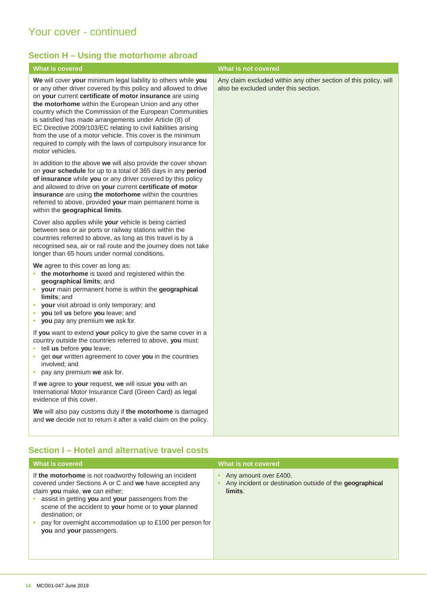# Your cover - continued

# <span id="page-13-0"></span>**Section H – Using the motorhome abroad**

| <b>What is covered</b>                                                                                                                                                                                                                                                                                                                                                                                                                                                                                                                                                                           | What is not covered                                                                                      |
|--------------------------------------------------------------------------------------------------------------------------------------------------------------------------------------------------------------------------------------------------------------------------------------------------------------------------------------------------------------------------------------------------------------------------------------------------------------------------------------------------------------------------------------------------------------------------------------------------|----------------------------------------------------------------------------------------------------------|
| We will cover your minimum legal liability to others while you<br>or any other driver covered by this policy and allowed to drive<br>on your current certificate of motor insurance are using<br>the motorhome within the European Union and any other<br>country which the Commission of the European Communities<br>is satisfied has made arrangements under Article (8) of<br>EC Directive 2009/103/EC relating to civil liabilities arising<br>from the use of a motor vehicle. This cover is the minimum<br>required to comply with the laws of compulsory insurance for<br>motor vehicles. | Any claim excluded within any other section of this policy, will<br>also be excluded under this section. |
| In addition to the above we will also provide the cover shown<br>on your schedule for up to a total of 365 days in any period<br>of insurance while you or any driver covered by this policy<br>and allowed to drive on your current certificate of motor<br>insurance are using the motorhome within the countries<br>referred to above, provided your main permanent home is<br>within the geographical limits.                                                                                                                                                                                |                                                                                                          |
| Cover also applies while your vehicle is being carried<br>between sea or air ports or railway stations within the<br>countries referred to above, as long as this travel is by a<br>recognised sea, air or rail route and the journey does not take<br>longer than 65 hours under normal conditions.                                                                                                                                                                                                                                                                                             |                                                                                                          |
| We agree to this cover as long as:<br>• the motorhome is taxed and registered within the<br>geographical limits; and<br>• your main permanent home is within the geographical<br>limits; and<br>• your visit abroad is only temporary; and<br>• you tell us before you leave; and<br>• you pay any premium we ask for.                                                                                                                                                                                                                                                                           |                                                                                                          |
| If you want to extend your policy to give the same cover in a<br>country outside the countries referred to above, you must:<br>· tell us before you leave;<br>• get our written agreement to cover you in the countries<br>involved; and<br>• pay any premium we ask for.                                                                                                                                                                                                                                                                                                                        |                                                                                                          |
| If we agree to your request, we will issue you with an<br>International Motor Insurance Card (Green Card) as legal<br>evidence of this cover.                                                                                                                                                                                                                                                                                                                                                                                                                                                    |                                                                                                          |
| We will also pay customs duty if the motorhome is damaged<br>and we decide not to return it after a valid claim on the policy.                                                                                                                                                                                                                                                                                                                                                                                                                                                                   |                                                                                                          |

# <span id="page-13-1"></span>**Section I – Hotel and alternative travel costs**

| <b>What is covered</b>                                                                                                                                                                                                                                                                                                                                                          | What is not covered                                                                         |
|---------------------------------------------------------------------------------------------------------------------------------------------------------------------------------------------------------------------------------------------------------------------------------------------------------------------------------------------------------------------------------|---------------------------------------------------------------------------------------------|
| If the motorhome is not roadworthy following an incident<br>covered under Sections A or C and we have accepted any<br>claim you make, we can either;<br>assist in getting you and your passengers from the<br>scene of the accident to your home or to your planned<br>destination; or<br>pay for overnight accommodation up to £100 per person for<br>you and your passengers. | Any amount over £400.<br>Any incident or destination outside of the geographical<br>limits. |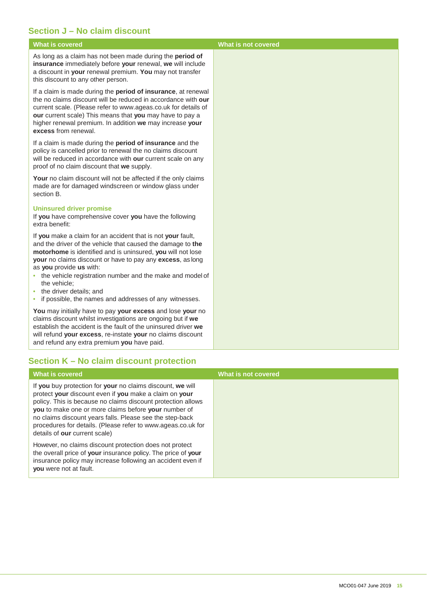# <span id="page-14-0"></span>**Section J – No claim discount**

As long as a claim has not been made during the **period of insurance** immediately before **your** renewal, **we** will include a discount in **your** renewal premium. **You** may not transfer this discount to any other person.

If a claim is made during the **period of insurance**, at renewal the no claims discount will be reduced in accordance with **our**  current scale. (Please refer to [www.ageas.co.uk f](http://www.ageas.co.uk/)or details of **our** current scale) This means that **you** may have to pay a higher renewal premium. In addition **we** may increase **your excess** from renewal.

If a claim is made during the **period of insurance** and the policy is cancelled prior to renewal the no claims discount will be reduced in accordance with **our** current scale on any proof of no claim discount that **we** supply.

Your no claim discount will not be affected if the only claims made are for damaged windscreen or window glass under section B.

#### **Uninsured driver promise**

If **you** have comprehensive cover **you** have the following extra benefit:

If **you** make a claim for an accident that is not **your** fault, and the driver of the vehicle that caused the damage to **the motorhome** is identified and is uninsured, **you** will not lose **your** no claims discount or have to pay any **excess**, as long as **you** provide **us** with:

- the vehicle registration number and the make and model of the vehicle;
- the driver details; and
- if possible, the names and addresses of any witnesses.

**You** may initially have to pay **your excess** and lose **your** no claims discount whilst investigations are ongoing but if **we**  establish the accident is the fault of the uninsured driver **we**  will refund **your excess**, re-instate **your** no claims discount and refund any extra premium **you** have paid.

# <span id="page-14-1"></span>**Section K – No claim discount protection**

| What is covered                                                                                                                                                                                                                                                                                                                                                                                           | What is not covered |
|-----------------------------------------------------------------------------------------------------------------------------------------------------------------------------------------------------------------------------------------------------------------------------------------------------------------------------------------------------------------------------------------------------------|---------------------|
| If you buy protection for your no claims discount, we will<br>protect your discount even if you make a claim on your<br>policy. This is because no claims discount protection allows<br>you to make one or more claims before your number of<br>no claims discount years falls. Please see the step-back<br>procedures for details. (Please refer to www.ageas.co.uk for<br>details of our current scale) |                     |
| However, no claims discount protection does not protect<br>the overall price of your insurance policy. The price of your<br>insurance policy may increase following an accident even if<br><b>you</b> were not at fault.                                                                                                                                                                                  |                     |

# **What is covered What is not covered**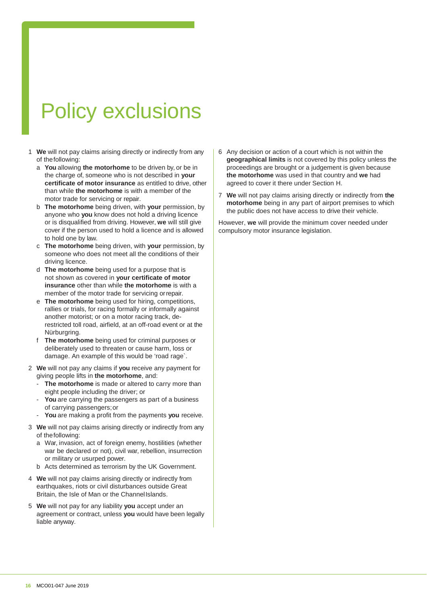# Policy exclusions

- 1 **We** will not pay claims arising directly or indirectly from any of thefollowing:
	- a **You** allowing **the motorhome** to be driven by, or be in the charge of, someone who is not described in **your certificate of motor insurance** as entitled to drive, other than while **the motorhome** is with a member of the motor trade for servicing or repair.
	- b **The motorhome** being driven, with **your** permission, by anyone who **you** know does not hold a driving licence or is disqualified from driving. However, **we** will still give cover if the person used to hold a licence and is allowed to hold one by law.
	- c **The motorhome** being driven, with **your** permission, by someone who does not meet all the conditions of their driving licence.
	- d **The motorhome** being used for a purpose that is not shown as covered in **your certificate of motor insurance** other than while **the motorhome** is with a member of the motor trade for servicing orrepair.
	- e **The motorhome** being used for hiring, competitions, rallies or trials, for racing formally or informally against another motorist; or on a motor racing track, derestricted toll road, airfield, at an off-road event or at the Nürburgring.
	- The motorhome being used for criminal purposes or deliberately used to threaten or cause harm, loss or damage. An example of this would be 'road rage`.
- 2 **We** will not pay any claims if **you** receive any payment for giving people lifts in **the motorhome**, and:
	- The motorhome is made or altered to carry more than eight people including the driver; or
	- You are carrying the passengers as part of a business of carrying passengers;or
	- **You** are making a profit from the payments **you** receive.
- 3 **We** will not pay claims arising directly or indirectly from any of thefollowing:
	- a War, invasion, act of foreign enemy, hostilities (whether war be declared or not), civil war, rebellion, insurrection or military or usurped power.
	- b Acts determined as terrorism by the UK Government.
- 4 **We** will not pay claims arising directly or indirectly from earthquakes, riots or civil disturbances outside Great Britain, the Isle of Man or the ChannelIslands.
- 5 **We** will not pay for any liability **you** accept under an agreement or contract, unless **you** would have been legally liable anyway.
- 6 Any decision or action of a court which is not within the **geographical limits** is not covered by this policy unless the proceedings are brought or a judgement is given because **the motorhome** was used in that country and **we** had agreed to cover it there under Section H.
- 7 **We** will not pay claims arising directly or indirectly from **the motorhome** being in any part of airport premises to which the public does not have access to drive their vehicle.

However, **we** will provide the minimum cover needed under compulsory motor insurance legislation.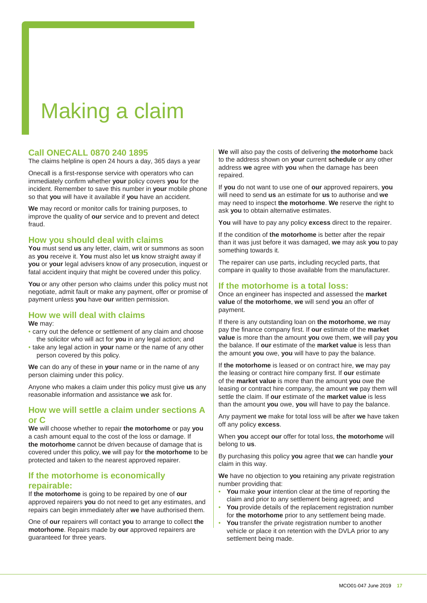# Making a claim

# **Call ONECALL 0870 240 1895**

The claims helpline is open 24 hours a day, 365 days a year

Onecall is a first-response service with operators who can immediately confirm whether **your** policy covers **you** for the incident. Remember to save this number in **your** mobile phone so that **you** will have it available if **you** have an accident.

**We** may record or monitor calls for training purposes, to improve the quality of **our** service and to prevent and detect fraud.

# **How you should deal with claims**

**You** must send **us** any letter, claim, writ or summons as soon as **you** receive it. **You** must also let **us** know straight away if **you** or **your** legal advisers know of any prosecution, inquest or fatal accident inquiry that might be covered under this policy.

You or any other person who claims under this policy must not negotiate, admit fault or make any payment, offer or promise of payment unless **you** have **our** written permission.

#### **How we will deal with claims We** may:

- carry out the defence or settlement of any claim and choose
- the solicitor who will act for **you** in any legal action; and • take any legal action in **your** name or the name of any other person covered by this policy.

**We** can do any of these in **your** name or in the name of any person claiming under this policy.

Anyone who makes a claim under this policy must give **us** any reasonable information and assistance **we** ask for.

# <span id="page-16-0"></span>**How we will settle a claim under sections A or C**

**We** will choose whether to repair **the motorhome** or pay **you** a cash amount equal to the cost of the loss or damage. If **the motorhome** cannot be driven because of damage that is covered under this policy, **we** will pay for **the motorhome** to be protected and taken to the nearest approved repairer.

# **If the motorhome is economically repairable:**

If **the motorhome** is going to be repaired by one of **our**  approved repairers **you** do not need to get any estimates, and repairs can begin immediately after **we** have authorised them.

One of **our** repairers will contact **you** to arrange to collect **the motorhome**. Repairs made by **our** approved repairers are guaranteed for three years.

**We** will also pay the costs of delivering **the motorhome** back to the address shown on **your** current **schedule** or any other address **we** agree with **you** when the damage has been repaired.

If **you** do not want to use one of **our** approved repairers, **you**  will need to send **us** an estimate for **us** to authorise and **we**  may need to inspect **the motorhome**. **We** reserve the right to ask **you** to obtain alternative estimates.

**You** will have to pay any policy **excess** direct to the repairer.

If the condition of **the motorhome** is better after the repair than it was just before it was damaged, **we** may ask **you** to pay something towards it.

The repairer can use parts, including recycled parts, that compare in quality to those available from the manufacturer.

# **If the motorhome is a total loss:**

Once an engineer has inspected and assessed the **market value** of **the motorhome**, **we** will send **you** an offer of payment.

If there is any outstanding loan on **the motorhome**, **we** may pay the finance company first. If **our** estimate of the **market value** is more than the amount **you** owe them, **we** will pay **you**  the balance. If **our** estimate of the **market value** is less than the amount **you** owe, **you** will have to pay the balance.

If **the motorhome** is leased or on contract hire, **we** may pay the leasing or contract hire company first. If **our** estimate of the **market value** is more than the amount **you** owe the leasing or contract hire company, the amount **we** pay them will settle the claim. If **our** estimate of the **market value** is less than the amount **you** owe, **you** will have to pay the balance.

Any payment **we** make for total loss will be after **we** have taken off any policy **excess**.

When **you** accept **our** offer for total loss, **the motorhome** will belong to **us**.

By purchasing this policy **you** agree that **we** can handle **your** claim in this way.

**We** have no objection to **you** retaining any private registration number providing that:

- **You** make **your** intention clear at the time of reporting the claim and prior to any settlement being agreed; and
- **You** provide details of the replacement registration number for **the motorhome** prior to any settlement being made.
- **You** transfer the private registration number to another vehicle or place it on retention with the DVLA prior to any settlement being made.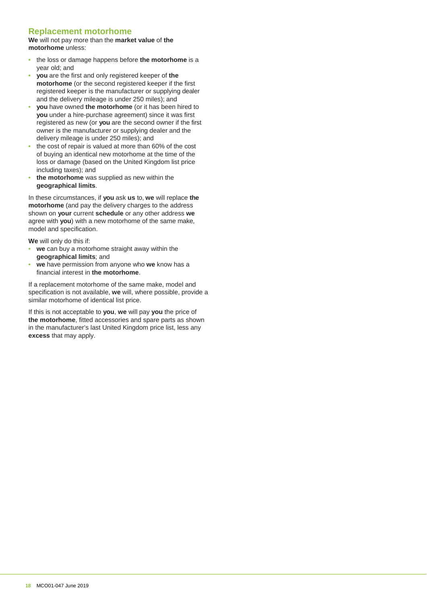# **Replacement motorhome**

**We** will not pay more than the **market value** of **the motorhome** unless:

- the loss or damage happens before **the motorhome** is a year old; and
- **you** are the first and only registered keeper of **the motorhome** (or the second registered keeper if the first registered keeper is the manufacturer or supplying dealer and the delivery mileage is under 250 miles); and
- **you** have owned **the motorhome** (or it has been hired to **you** under a hire-purchase agreement) since it was first registered as new (or **you** are the second owner if the first owner is the manufacturer or supplying dealer and the delivery mileage is under 250 miles); and
- the cost of repair is valued at more than 60% of the cost of buying an identical new motorhome at the time of the loss or damage (based on the United Kingdom list price including taxes); and
- **the motorhome** was supplied as new within the **geographical limits**.

In these circumstances, if **you** ask **us** to, **we** will replace **the motorhome** (and pay the delivery charges to the address shown on **your** current **schedule** or any other address **we**  agree with **you**) with a new motorhome of the same make, model and specification.

**We** will only do this if:

- we can buy a motorhome straight away within the **geographical limits**; and
- **we** have permission from anyone who **we** know has a financial interest in **the motorhome**.

If a replacement motorhome of the same make, model and specification is not available, **we** will, where possible, provide a similar motorhome of identical list price.

If this is not acceptable to **you**, **we** will pay **you** the price of **the motorhome**, fitted accessories and spare parts as shown in the manufacturer's last United Kingdom price list, less any **excess** that may apply.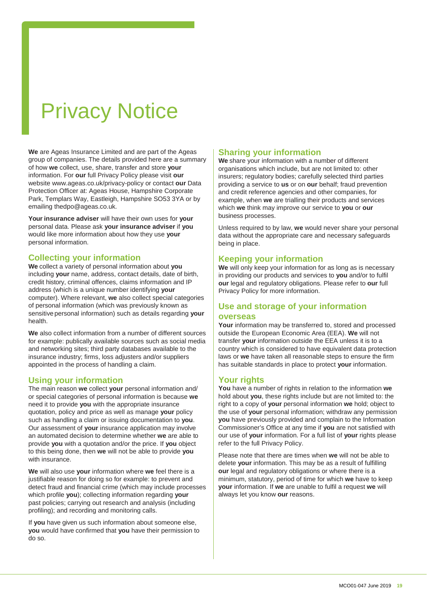# Privacy Notice

**We** are Ageas Insurance Limited and are part of the Ageas group of companies. The details provided here are a summary of how **we** collect, use, share, transfer and store **your**  information. For **our** full Privacy Policy please visit **our** websit[e www.ageas.co.uk/privacy-policy o](http://www.ageas.co.uk/privacy-policy)r contact **our** Data Protection Officer at: Ageas House, Hampshire Corporate Park, Templars Way, Eastleigh, Hampshire SO53 3YA or by emailin[g thedpo@ageas.co.uk.](mailto:thedpo@ageas.co.uk)

**Your insurance adviser** will have their own uses for **your** personal data. Please ask **your insurance adviser** if **you** would like more information about how they use **your** personal information.

# **Collecting your information**

**We** collect a variety of personal information about **you** including **your** name, address, contact details, date of birth, credit history, criminal offences, claims information and IP address (which is a unique number identifying **your** computer). Where relevant, **we** also collect special categories of personal information (which was previously known as sensitivepersonal information) such as details regarding **your** health.

**We** also collect information from a number of different sources for example: publically available sources such as social media and networking sites; third party databases available to the insurance industry; firms, loss adjusters and/or suppliers appointed in the process of handling a claim.

# **Using your information**

The main reason **we** collect **your** personal information and/ or special categories of personal information is because **we**  need it to provide **you** with the appropriate insurance quotation, policy and price as well as manage **your** policy such as handling a claim or issuing documentation to **you**. Our assessment of **your** insurance application may involve an automated decision to determine whether **we** are able to provide **you** with a quotation and/or the price. If **you** object to this being done, then **we** will not be able to provide **you** with insurance.

**We** will also use **your** information where **we** feel there is a justifiable reason for doing so for example: to prevent and detect fraud and financial crime (which may include processes which profile **you**); collecting information regarding **your** past policies; carrying out research and analysis (including profiling); and recording and monitoring calls.

If **you** have given us such information about someone else, **you** would have confirmed that **you** have their permission to do so.

# **Sharing your information**

**We** share your information with a number of different organisations which include, but are not limited to: other insurers; regulatory bodies; carefully selected third parties providing a service to **us** or on **our** behalf; fraud prevention and credit reference agencies and other companies, for example, when **we** are trialling their products and services which **we** think may improve our service to **you** or **our** business processes.

Unless required to by law, **we** would never share your personal data without the appropriate care and necessary safeguards being in place.

# **Keeping your information**

**We** will only keep your information for as long as is necessary in providing our products and services to **you** and/or to fulfil **our** legal and regulatory obligations. Please refer to **our** full Privacy Policy for more information.

# **Use and storage of your information**

### **overseas**

**Your** information may be transferred to, stored and processed outside the European Economic Area (EEA). **We** will not transfer **your** information outside the EEA unless it is to a country which is considered to have equivalent data protection laws or **we** have taken all reasonable steps to ensure the firm has suitable standards in place to protect **your** information.

# **Your rights**

**You** have a number of rights in relation to the information **we** hold about **you**, these rights include but are not limited to: the right to a copy of **your** personal information **we** hold; object to the use of **your** personal information; withdraw any permission **you** have previously provided and complain to the Information Commissioner's Office at any time if **you** are not satisfied with our use of **your** information. For a full list of **your** rights please refer to the full Privacy Policy.

Please note that there are times when **we** will not be able to delete **your** information. This may be as a result of fulfilling **our** legal and regulatory obligations or where there is a minimum, statutory, period of time for which **we** have to keep **your** information. If **we** are unable to fulfil a request **we** will always let you know **our** reasons.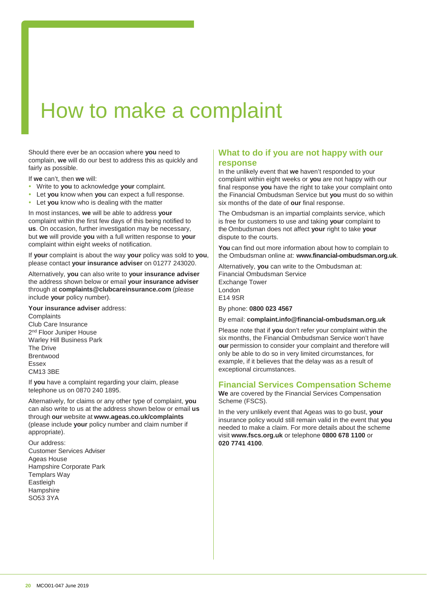# <span id="page-19-0"></span>How to make a complaint

Should there ever be an occasion where **you** need to complain, **we** will do our best to address this as quickly and fairly as possible.

If **we** can't, then **we** will:

- Write to **you** to acknowledge **your** complaint.
- Let **you** know when **you** can expect a full response.
- Let **you** know who is dealing with the matter

In most instances, **we** will be able to address **your** complaint within the first few days of this being notified to **us**. On occasion, further investigation may be necessary, but **we** will provide **you** with a full written response to **your** complaint within eight weeks of notification.

If **your** complaint is about the way **your** policy was sold to **you**, please contact **your insurance adviser** on 01277 243020.

Alternatively, **you** can also write to **your insurance adviser** the address shown below or email **your insurance adviser** through at **complaints@clubcareinsurance.com** (please include **your** policy number).

**Your insurance adviser** address:

**Complaints** Club Care Insurance 2<sup>nd</sup> Floor Juniper House Warley Hill Business Park The Drive Brentwood Essex CM13 3BE

If **you** have a complaint regarding your claim, please telephone us on 0870 240 1895.

Alternatively, for claims or any other type of complaint, **you** can also write to us at the address shown below or email **us** through **our** website at **[www.ageas.co.uk/complaints](http://www.ageas.co.uk/complaints)** (please include **your** policy number and claim number if appropriate).

Our address: Customer Services Adviser Ageas House Hampshire Corporate Park Templars Way Eastleigh **Hampshire** SO53 3YA

# **What to do if you are not happy with our response**

In the unlikely event that **we** haven't responded to your complaint within eight weeks or **you** are not happy with our final response **you** have the right to take your complaint onto the Financial Ombudsman Service but **you** must do so within six months of the date of **our** final response.

The Ombudsman is an impartial complaints service, which is free for customers to use and taking **your** complaint to the Ombudsman does not affect **your** right to take **your** dispute to the courts.

**You** can find out more information about how to complain to the Ombudsman online at: **[www.financial-ombudsman.org.uk](http://www.financial-ombudsman.org.uk/)**.

Alternatively, **you** can write to the Ombudsman at: Financial Ombudsman Service Exchange Tower London E14 9SR

By phone: **0800 023 4567**

By email: **[complaint.info@financial-ombudsman.org.uk](mailto:complaint.info@financial-ombudsman.org.uk)**

Please note that if **you** don't refer your complaint within the six months, the Financial Ombudsman Service won't have **our** permission to consider your complaint and therefore will only be able to do so in very limited circumstances, for example, if it believes that the delay was as a result of exceptional circumstances.

# <span id="page-19-1"></span>**Financial Services Compensation Scheme**

**We** are covered by the Financial Services Compensation Scheme (FSCS).

In the very unlikely event that Ageas was to go bust, **your** insurance policy would still remain valid in the event that **you** needed to make a claim. For more details about the scheme visit **[www.fscs.org.uk](http://www.fscs.org.uk/)** or telephone **0800 678 1100** or **020 7741 4100**.